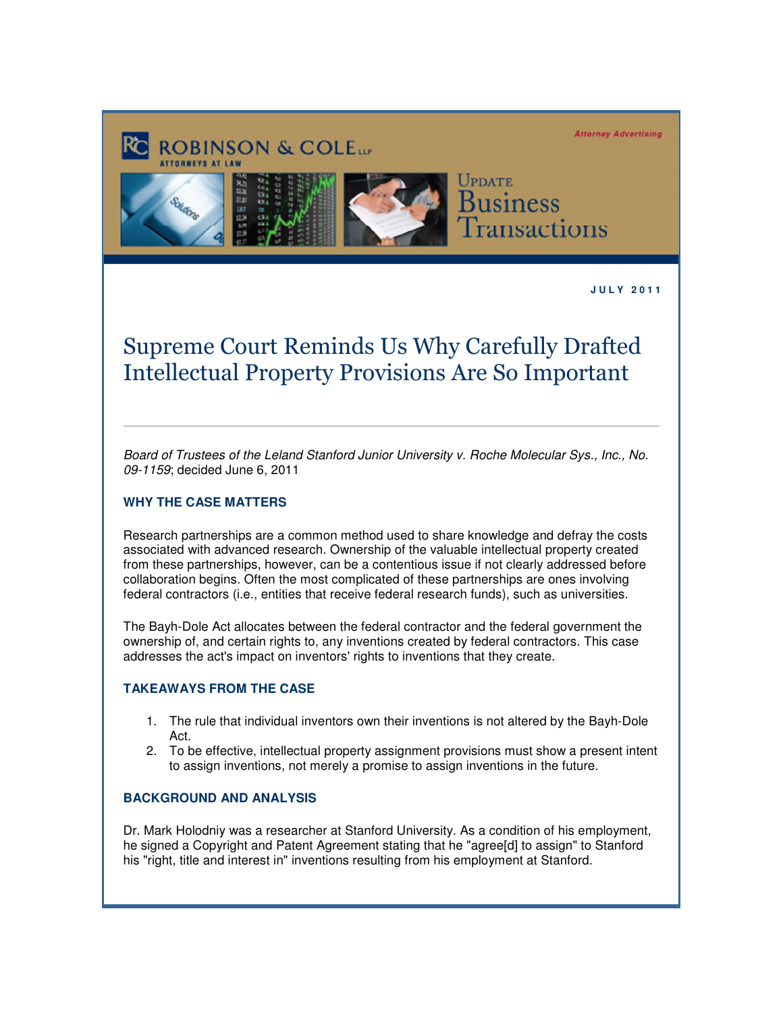**Attorney Advertising** 



**J U L Y 2 0 1 1** 

## Supreme Court Reminds Us Why Carefully Drafted Intellectual Property Provisions Are So Important

Board of Trustees of the Leland Stanford Junior University v. Roche Molecular Sys., Inc., No. 09-1159; decided June 6, 2011

## **WHY THE CASE MATTERS**

Research partnerships are a common method used to share knowledge and defray the costs associated with advanced research. Ownership of the valuable intellectual property created from these partnerships, however, can be a contentious issue if not clearly addressed before collaboration begins. Often the most complicated of these partnerships are ones involving federal contractors (i.e., entities that receive federal research funds), such as universities.

The Bayh-Dole Act allocates between the federal contractor and the federal government the ownership of, and certain rights to, any inventions created by federal contractors. This case addresses the act's impact on inventors' rights to inventions that they create.

## **TAKEAWAYS FROM THE CASE**

- 1. The rule that individual inventors own their inventions is not altered by the Bayh-Dole Act.
- 2. To be effective, intellectual property assignment provisions must show a present intent to assign inventions, not merely a promise to assign inventions in the future.

## **BACKGROUND AND ANALYSIS**

Dr. Mark Holodniy was a researcher at Stanford University. As a condition of his employment, he signed a Copyright and Patent Agreement stating that he "agree[d] to assign" to Stanford his "right, title and interest in" inventions resulting from his employment at Stanford.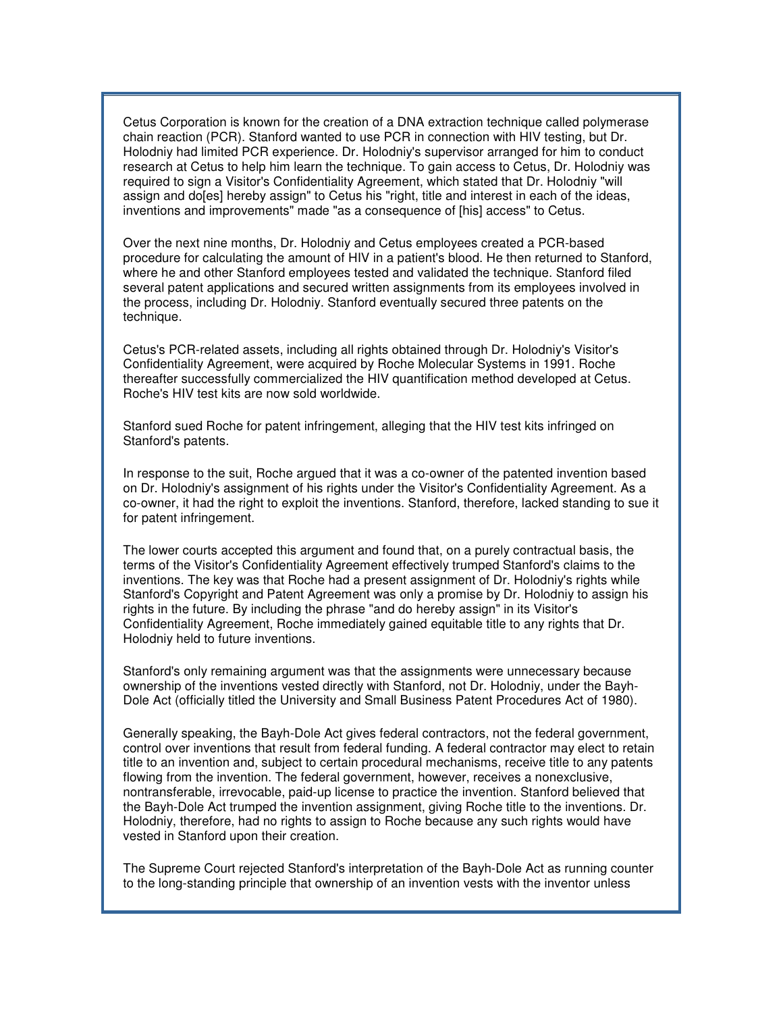Cetus Corporation is known for the creation of a DNA extraction technique called polymerase chain reaction (PCR). Stanford wanted to use PCR in connection with HIV testing, but Dr. Holodniy had limited PCR experience. Dr. Holodniy's supervisor arranged for him to conduct research at Cetus to help him learn the technique. To gain access to Cetus, Dr. Holodniy was required to sign a Visitor's Confidentiality Agreement, which stated that Dr. Holodniy "will assign and do[es] hereby assign" to Cetus his "right, title and interest in each of the ideas, inventions and improvements" made "as a consequence of [his] access" to Cetus.

Over the next nine months, Dr. Holodniy and Cetus employees created a PCR-based procedure for calculating the amount of HIV in a patient's blood. He then returned to Stanford, where he and other Stanford employees tested and validated the technique. Stanford filed several patent applications and secured written assignments from its employees involved in the process, including Dr. Holodniy. Stanford eventually secured three patents on the technique.

Cetus's PCR-related assets, including all rights obtained through Dr. Holodniy's Visitor's Confidentiality Agreement, were acquired by Roche Molecular Systems in 1991. Roche thereafter successfully commercialized the HIV quantification method developed at Cetus. Roche's HIV test kits are now sold worldwide.

Stanford sued Roche for patent infringement, alleging that the HIV test kits infringed on Stanford's patents.

In response to the suit, Roche argued that it was a co-owner of the patented invention based on Dr. Holodniy's assignment of his rights under the Visitor's Confidentiality Agreement. As a co-owner, it had the right to exploit the inventions. Stanford, therefore, lacked standing to sue it for patent infringement.

The lower courts accepted this argument and found that, on a purely contractual basis, the terms of the Visitor's Confidentiality Agreement effectively trumped Stanford's claims to the inventions. The key was that Roche had a present assignment of Dr. Holodniy's rights while Stanford's Copyright and Patent Agreement was only a promise by Dr. Holodniy to assign his rights in the future. By including the phrase "and do hereby assign" in its Visitor's Confidentiality Agreement, Roche immediately gained equitable title to any rights that Dr. Holodniy held to future inventions.

Stanford's only remaining argument was that the assignments were unnecessary because ownership of the inventions vested directly with Stanford, not Dr. Holodniy, under the Bayh-Dole Act (officially titled the University and Small Business Patent Procedures Act of 1980).

Generally speaking, the Bayh-Dole Act gives federal contractors, not the federal government, control over inventions that result from federal funding. A federal contractor may elect to retain title to an invention and, subject to certain procedural mechanisms, receive title to any patents flowing from the invention. The federal government, however, receives a nonexclusive, nontransferable, irrevocable, paid-up license to practice the invention. Stanford believed that the Bayh-Dole Act trumped the invention assignment, giving Roche title to the inventions. Dr. Holodniy, therefore, had no rights to assign to Roche because any such rights would have vested in Stanford upon their creation.

The Supreme Court rejected Stanford's interpretation of the Bayh-Dole Act as running counter to the long-standing principle that ownership of an invention vests with the inventor unless